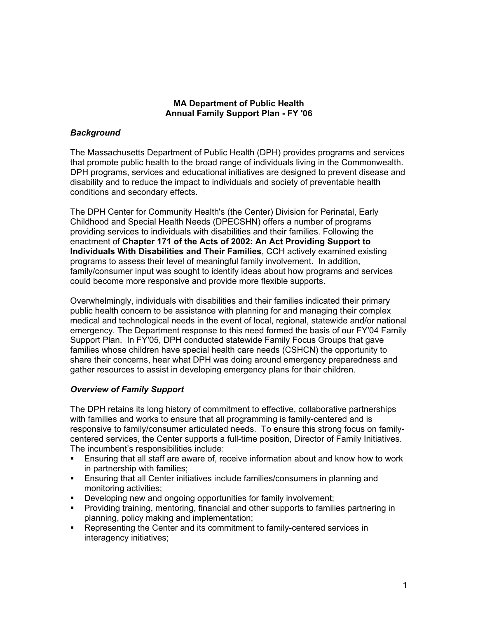### **MA Department of Public Health Annual Family Support Plan - FY '06**

### *Background*

The Massachusetts Department of Public Health (DPH) provides programs and services that promote public health to the broad range of individuals living in the Commonwealth. DPH programs, services and educational initiatives are designed to prevent disease and disability and to reduce the impact to individuals and society of preventable health conditions and secondary effects.

The DPH Center for Community Health's (the Center) Division for Perinatal, Early Childhood and Special Health Needs (DPECSHN) offers a number of programs providing services to individuals with disabilities and their families. Following the enactment of **Chapter 171 of the Acts of 2002: An Act Providing Support to Individuals With Disabilities and Their Families**, CCH actively examined existing programs to assess their level of meaningful family involvement. In addition, family/consumer input was sought to identify ideas about how programs and services could become more responsive and provide more flexible supports.

Overwhelmingly, individuals with disabilities and their families indicated their primary public health concern to be assistance with planning for and managing their complex medical and technological needs in the event of local, regional, statewide and/or national emergency. The Department response to this need formed the basis of our FY'04 Family Support Plan. In FY'05, DPH conducted statewide Family Focus Groups that gave families whose children have special health care needs (CSHCN) the opportunity to share their concerns, hear what DPH was doing around emergency preparedness and gather resources to assist in developing emergency plans for their children.

# *Overview of Family Support*

The DPH retains its long history of commitment to effective, collaborative partnerships with families and works to ensure that all programming is family-centered and is responsive to family/consumer articulated needs. To ensure this strong focus on familycentered services, the Center supports a full-time position, Director of Family Initiatives. The incumbent's responsibilities include:

- Ensuring that all staff are aware of, receive information about and know how to work in partnership with families;
- Ensuring that all Center initiatives include families/consumers in planning and monitoring activities;
- Developing new and ongoing opportunities for family involvement;
- Providing training, mentoring, financial and other supports to families partnering in planning, policy making and implementation;
- Representing the Center and its commitment to family-centered services in interagency initiatives;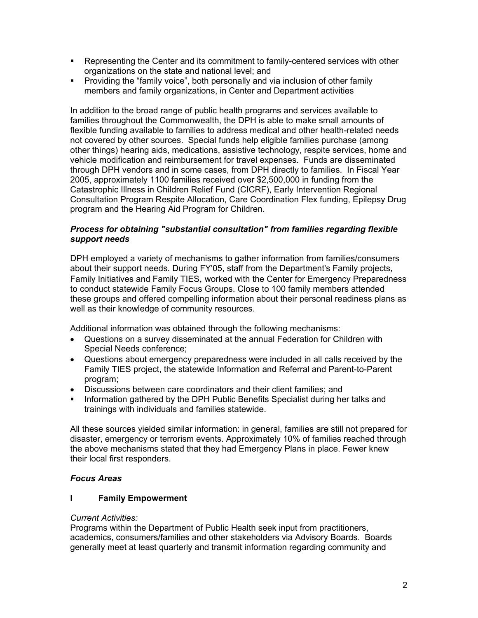- Representing the Center and its commitment to family-centered services with other organizations on the state and national level; and
- Providing the "family voice", both personally and via inclusion of other family members and family organizations, in Center and Department activities

In addition to the broad range of public health programs and services available to families throughout the Commonwealth, the DPH is able to make small amounts of flexible funding available to families to address medical and other health-related needs not covered by other sources. Special funds help eligible families purchase (among other things) hearing aids, medications, assistive technology, respite services, home and vehicle modification and reimbursement for travel expenses. Funds are disseminated through DPH vendors and in some cases, from DPH directly to families. In Fiscal Year 2005, approximately 1100 families received over \$2,500,000 in funding from the Catastrophic Illness in Children Relief Fund (CICRF), Early Intervention Regional Consultation Program Respite Allocation, Care Coordination Flex funding, Epilepsy Drug program and the Hearing Aid Program for Children.

### *Process for obtaining "substantial consultation" from families regarding flexible support needs*

DPH employed a variety of mechanisms to gather information from families/consumers about their support needs. During FY'05, staff from the Department's Family projects, Family Initiatives and Family TIES, worked with the Center for Emergency Preparedness to conduct statewide Family Focus Groups. Close to 100 family members attended these groups and offered compelling information about their personal readiness plans as well as their knowledge of community resources.

Additional information was obtained through the following mechanisms:

- Questions on a survey disseminated at the annual Federation for Children with Special Needs conference;
- Questions about emergency preparedness were included in all calls received by the Family TIES project, the statewide Information and Referral and Parent-to-Parent program;
- Discussions between care coordinators and their client families; and
- **Information gathered by the DPH Public Benefits Specialist during her talks and** trainings with individuals and families statewide.

All these sources yielded similar information: in general, families are still not prepared for disaster, emergency or terrorism events. Approximately 10% of families reached through the above mechanisms stated that they had Emergency Plans in place. Fewer knew their local first responders.

# *Focus Areas*

# **I Family Empowerment**

### *Current Activities:*

Programs within the Department of Public Health seek input from practitioners, academics, consumers/families and other stakeholders via Advisory Boards. Boards generally meet at least quarterly and transmit information regarding community and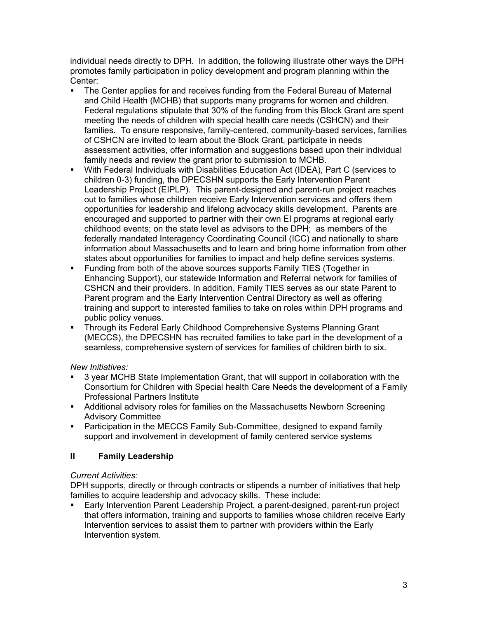individual needs directly to DPH. In addition, the following illustrate other ways the DPH promotes family participation in policy development and program planning within the Center:

- The Center applies for and receives funding from the Federal Bureau of Maternal and Child Health (MCHB) that supports many programs for women and children. Federal regulations stipulate that 30% of the funding from this Block Grant are spent meeting the needs of children with special health care needs (CSHCN) and their families. To ensure responsive, family-centered, community-based services, families of CSHCN are invited to learn about the Block Grant, participate in needs assessment activities, offer information and suggestions based upon their individual family needs and review the grant prior to submission to MCHB.
- With Federal Individuals with Disabilities Education Act (IDEA), Part C (services to children 0-3) funding, the DPECSHN supports the Early Intervention Parent Leadership Project (EIPLP). This parent-designed and parent-run project reaches out to families whose children receive Early Intervention services and offers them opportunities for leadership and lifelong advocacy skills development. Parents are encouraged and supported to partner with their own EI programs at regional early childhood events; on the state level as advisors to the DPH; as members of the federally mandated Interagency Coordinating Council (ICC) and nationally to share information about Massachusetts and to learn and bring home information from other states about opportunities for families to impact and help define services systems.
- Funding from both of the above sources supports Family TIES (Together in Enhancing Support), our statewide Information and Referral network for families of CSHCN and their providers. In addition, Family TIES serves as our state Parent to Parent program and the Early Intervention Central Directory as well as offering training and support to interested families to take on roles within DPH programs and public policy venues.
- Through its Federal Early Childhood Comprehensive Systems Planning Grant (MECCS), the DPECSHN has recruited families to take part in the development of a seamless, comprehensive system of services for families of children birth to six.

# *New Initiatives:*

- 3 year MCHB State Implementation Grant, that will support in collaboration with the Consortium for Children with Special health Care Needs the development of a Family Professional Partners Institute
- Additional advisory roles for families on the Massachusetts Newborn Screening Advisory Committee
- Participation in the MECCS Family Sub-Committee, designed to expand family support and involvement in development of family centered service systems

# **II Family Leadership**

# *Current Activities:*

DPH supports, directly or through contracts or stipends a number of initiatives that help families to acquire leadership and advocacy skills. These include:

 Early Intervention Parent Leadership Project, a parent-designed, parent-run project that offers information, training and supports to families whose children receive Early Intervention services to assist them to partner with providers within the Early Intervention system.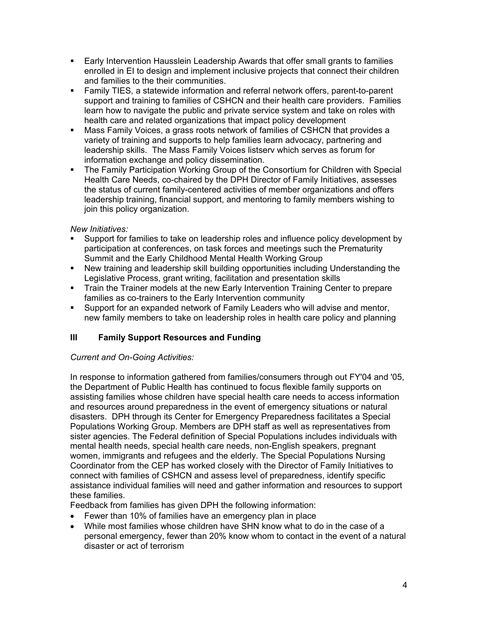- Early Intervention Hausslein Leadership Awards that offer small grants to families enrolled in EI to design and implement inclusive projects that connect their children and families to the their communities.
- Family TIES, a statewide information and referral network offers, parent-to-parent support and training to families of CSHCN and their health care providers. Families learn how to navigate the public and private service system and take on roles with health care and related organizations that impact policy development
- Mass Family Voices, a grass roots network of families of CSHCN that provides a variety of training and supports to help families learn advocacy, partnering and leadership skills. The Mass Family Voices listserv which serves as forum for information exchange and policy dissemination.
- The Family Participation Working Group of the Consortium for Children with Special Health Care Needs, co-chaired by the DPH Director of Family Initiatives, assesses the status of current family-centered activities of member organizations and offers leadership training, financial support, and mentoring to family members wishing to join this policy organization.

### *New Initiatives:*

- Support for families to take on leadership roles and influence policy development by participation at conferences, on task forces and meetings such the Prematurity Summit and the Early Childhood Mental Health Working Group
- New training and leadership skill building opportunities including Understanding the Legislative Process, grant writing, facilitation and presentation skills
- **Train the Trainer models at the new Early Intervention Training Center to prepare** families as co-trainers to the Early Intervention community
- Support for an expanded network of Family Leaders who will advise and mentor, new family members to take on leadership roles in health care policy and planning

# **III Family Support Resources and Funding**

### *Current and On-Going Activities:*

In response to information gathered from families/consumers through out FY'04 and '05, the Department of Public Health has continued to focus flexible family supports on assisting families whose children have special health care needs to access information and resources around preparedness in the event of emergency situations or natural disasters. DPH through its Center for Emergency Preparedness facilitates a Special Populations Working Group. Members are DPH staff as well as representatives from sister agencies. The Federal definition of Special Populations includes individuals with mental health needs, special health care needs, non-English speakers, pregnant women, immigrants and refugees and the elderly. The Special Populations Nursing Coordinator from the CEP has worked closely with the Director of Family Initiatives to connect with families of CSHCN and assess level of preparedness, identify specific assistance individual families will need and gather information and resources to support these families.

Feedback from families has given DPH the following information:

- Fewer than 10% of families have an emergency plan in place
- While most families whose children have SHN know what to do in the case of a personal emergency, fewer than 20% know whom to contact in the event of a natural disaster or act of terrorism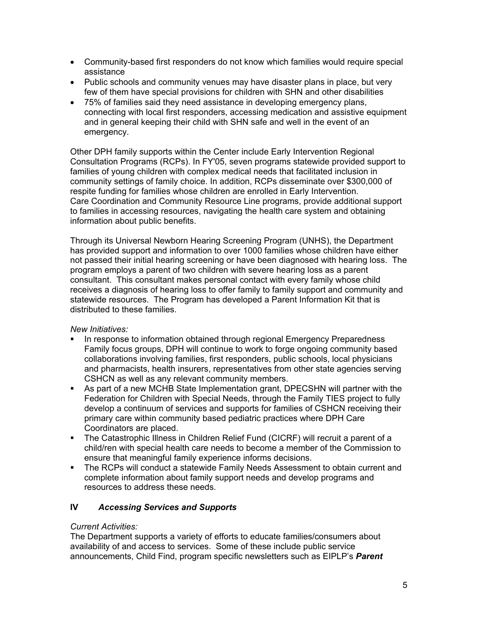- Community-based first responders do not know which families would require special assistance
- Public schools and community venues may have disaster plans in place, but very few of them have special provisions for children with SHN and other disabilities
- 75% of families said they need assistance in developing emergency plans, connecting with local first responders, accessing medication and assistive equipment and in general keeping their child with SHN safe and well in the event of an emergency.

Other DPH family supports within the Center include Early Intervention Regional Consultation Programs (RCPs). In FY'05, seven programs statewide provided support to families of young children with complex medical needs that facilitated inclusion in community settings of family choice. In addition, RCPs disseminate over \$300,000 of respite funding for families whose children are enrolled in Early Intervention. Care Coordination and Community Resource Line programs, provide additional support to families in accessing resources, navigating the health care system and obtaining information about public benefits.

Through its Universal Newborn Hearing Screening Program (UNHS), the Department has provided support and information to over 1000 families whose children have either not passed their initial hearing screening or have been diagnosed with hearing loss. The program employs a parent of two children with severe hearing loss as a parent consultant. This consultant makes personal contact with every family whose child receives a diagnosis of hearing loss to offer family to family support and community and statewide resources. The Program has developed a Parent Information Kit that is distributed to these families.

### *New Initiatives:*

- In response to information obtained through regional Emergency Preparedness Family focus groups, DPH will continue to work to forge ongoing community based collaborations involving families, first responders, public schools, local physicians and pharmacists, health insurers, representatives from other state agencies serving CSHCN as well as any relevant community members.
- As part of a new MCHB State Implementation grant, DPECSHN will partner with the Federation for Children with Special Needs, through the Family TIES project to fully develop a continuum of services and supports for families of CSHCN receiving their primary care within community based pediatric practices where DPH Care Coordinators are placed.
- The Catastrophic Illness in Children Relief Fund (CICRF) will recruit a parent of a child/ren with special health care needs to become a member of the Commission to ensure that meaningful family experience informs decisions.
- The RCPs will conduct a statewide Family Needs Assessment to obtain current and complete information about family support needs and develop programs and resources to address these needs.

### **IV** *Accessing Services and Supports*

#### *Current Activities:*

The Department supports a variety of efforts to educate families/consumers about availability of and access to services. Some of these include public service announcements, Child Find, program specific newsletters such as EIPLP's *Parent*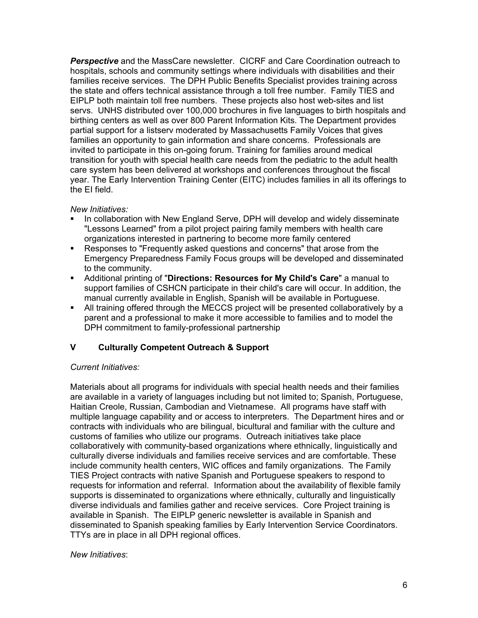*Perspective* and the MassCare newsletter. CICRF and Care Coordination outreach to hospitals, schools and community settings where individuals with disabilities and their families receive services. The DPH Public Benefits Specialist provides training across the state and offers technical assistance through a toll free number. Family TIES and EIPLP both maintain toll free numbers. These projects also host web-sites and list servs. UNHS distributed over 100,000 brochures in five languages to birth hospitals and birthing centers as well as over 800 Parent Information Kits. The Department provides partial support for a listserv moderated by Massachusetts Family Voices that gives families an opportunity to gain information and share concerns. Professionals are invited to participate in this on-going forum. Training for families around medical transition for youth with special health care needs from the pediatric to the adult health care system has been delivered at workshops and conferences throughout the fiscal year. The Early Intervention Training Center (EITC) includes families in all its offerings to the EI field.

#### *New Initiatives:*

- In collaboration with New England Serve, DPH will develop and widely disseminate "Lessons Learned" from a pilot project pairing family members with health care organizations interested in partnering to become more family centered
- Responses to "Frequently asked questions and concerns" that arose from the Emergency Preparedness Family Focus groups will be developed and disseminated to the community.
- Additional printing of "**Directions: Resources for My Child's Care**" a manual to support families of CSHCN participate in their child's care will occur. In addition, the manual currently available in English, Spanish will be available in Portuguese.
- All training offered through the MECCS project will be presented collaboratively by a parent and a professional to make it more accessible to families and to model the DPH commitment to family-professional partnership

# **V Culturally Competent Outreach & Support**

### *Current Initiatives:*

Materials about all programs for individuals with special health needs and their families are available in a variety of languages including but not limited to; Spanish, Portuguese, Haitian Creole, Russian, Cambodian and Vietnamese. All programs have staff with multiple language capability and or access to interpreters. The Department hires and or contracts with individuals who are bilingual, bicultural and familiar with the culture and customs of families who utilize our programs. Outreach initiatives take place collaboratively with community-based organizations where ethnically, linguistically and culturally diverse individuals and families receive services and are comfortable. These include community health centers, WIC offices and family organizations. The Family TIES Project contracts with native Spanish and Portuguese speakers to respond to requests for information and referral. Information about the availability of flexible family supports is disseminated to organizations where ethnically, culturally and linguistically diverse individuals and families gather and receive services. Core Project training is available in Spanish. The EIPLP generic newsletter is available in Spanish and disseminated to Spanish speaking families by Early Intervention Service Coordinators. TTYs are in place in all DPH regional offices.

### *New Initiatives*: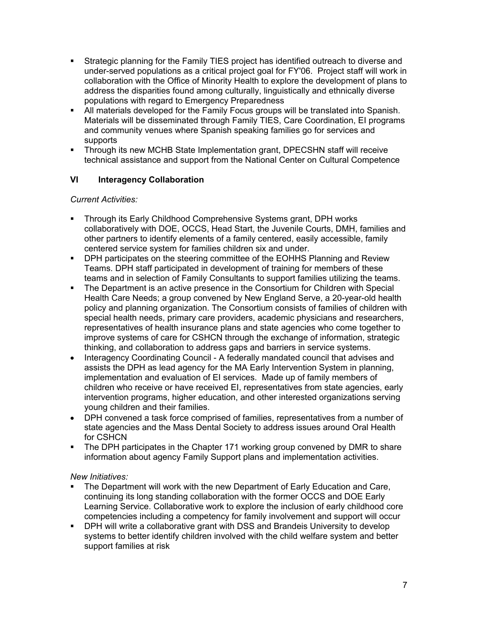- Strategic planning for the Family TIES project has identified outreach to diverse and under-served populations as a critical project goal for FY'06. Project staff will work in collaboration with the Office of Minority Health to explore the development of plans to address the disparities found among culturally, linguistically and ethnically diverse populations with regard to Emergency Preparedness
- All materials developed for the Family Focus groups will be translated into Spanish. Materials will be disseminated through Family TIES, Care Coordination, EI programs and community venues where Spanish speaking families go for services and supports
- Through its new MCHB State Implementation grant, DPECSHN staff will receive technical assistance and support from the National Center on Cultural Competence

# **VI** Interagency Collaboration

### *Current Activities:*

- **Through its Early Childhood Comprehensive Systems grant, DPH works** collaboratively with DOE, OCCS, Head Start, the Juvenile Courts, DMH, families and other partners to identify elements of a family centered, easily accessible, family centered service system for families children six and under.
- **DPH participates on the steering committee of the EOHHS Planning and Review** Teams. DPH staff participated in development of training for members of these teams and in selection of Family Consultants to support families utilizing the teams.
- The Department is an active presence in the Consortium for Children with Special Health Care Needs; a group convened by New England Serve, a 20-year-old health policy and planning organization. The Consortium consists of families of children with special health needs, primary care providers, academic physicians and researchers, representatives of health insurance plans and state agencies who come together to improve systems of care for CSHCN through the exchange of information, strategic thinking, and collaboration to address gaps and barriers in service systems.
- Interagency Coordinating Council A federally mandated council that advises and assists the DPH as lead agency for the MA Early Intervention System in planning, implementation and evaluation of EI services. Made up of family members of children who receive or have received EI, representatives from state agencies, early intervention programs, higher education, and other interested organizations serving young children and their families.
- DPH convened a task force comprised of families, representatives from a number of state agencies and the Mass Dental Society to address issues around Oral Health for CSHCN
- The DPH participates in the Chapter 171 working group convened by DMR to share information about agency Family Support plans and implementation activities.

### *New Initiatives:*

- The Department will work with the new Department of Early Education and Care, continuing its long standing collaboration with the former OCCS and DOE Early Learning Service. Collaborative work to explore the inclusion of early childhood core competencies including a competency for family involvement and support will occur
- DPH will write a collaborative grant with DSS and Brandeis University to develop systems to better identify children involved with the child welfare system and better support families at risk